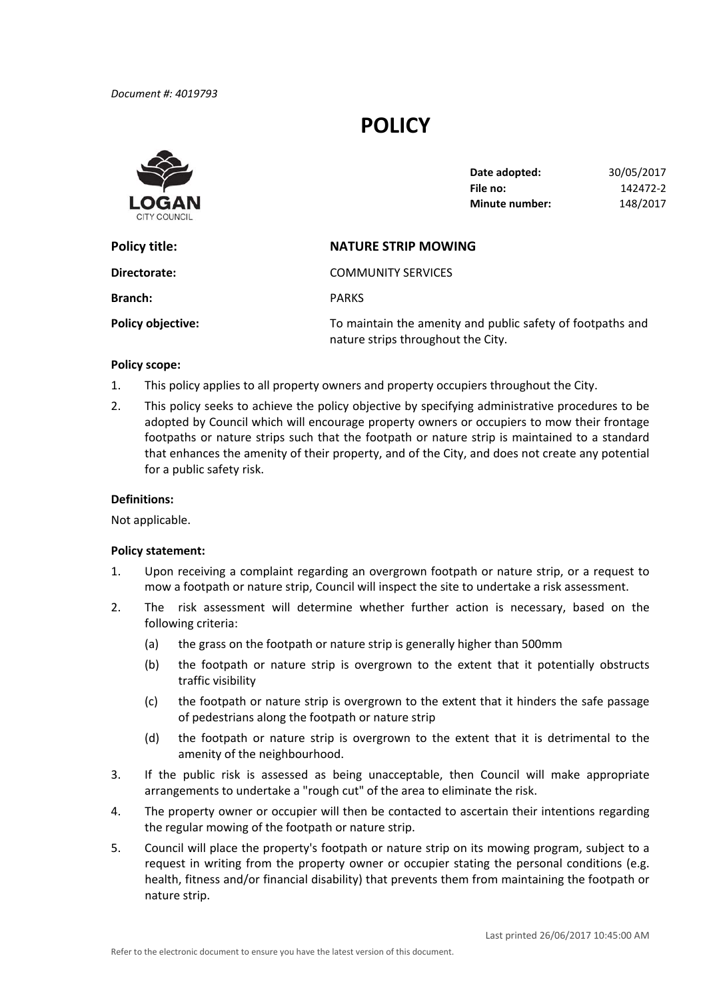# **POLICY**



| Date adopted:         | 30/05/2017 |
|-----------------------|------------|
| File no:              | 142472-2   |
| <b>Minute number:</b> | 148/2017   |

| Policy title:            | <b>NATURE STRIP MOWING</b>                                                                       |
|--------------------------|--------------------------------------------------------------------------------------------------|
| Directorate:             | <b>COMMUNITY SERVICES</b>                                                                        |
| <b>Branch:</b>           | <b>PARKS</b>                                                                                     |
| <b>Policy objective:</b> | To maintain the amenity and public safety of footpaths and<br>nature strips throughout the City. |

### **Policy scope:**

- 1. This policy applies to all property owners and property occupiers throughout the City.
- 2. This policy seeks to achieve the policy objective by specifying administrative procedures to be adopted by Council which will encourage property owners or occupiers to mow their frontage footpaths or nature strips such that the footpath or nature strip is maintained to a standard that enhances the amenity of their property, and of the City, and does not create any potential for a public safety risk.

### **Definitions:**

Not applicable.

#### **Policy statement:**

- 1. Upon receiving a complaint regarding an overgrown footpath or nature strip, or a request to mow a footpath or nature strip, Council will inspect the site to undertake a risk assessment.
- 2. The risk assessment will determine whether further action is necessary, based on the following criteria:
	- (a) the grass on the footpath or nature strip is generally higher than 500mm
	- (b) the footpath or nature strip is overgrown to the extent that it potentially obstructs traffic visibility
	- (c) the footpath or nature strip is overgrown to the extent that it hinders the safe passage of pedestrians along the footpath or nature strip
	- (d) the footpath or nature strip is overgrown to the extent that it is detrimental to the amenity of the neighbourhood.
- 3. If the public risk is assessed as being unacceptable, then Council will make appropriate arrangements to undertake a "rough cut" of the area to eliminate the risk.
- 4. The property owner or occupier will then be contacted to ascertain their intentions regarding the regular mowing of the footpath or nature strip.
- 5. Council will place the property's footpath or nature strip on its mowing program, subject to a request in writing from the property owner or occupier stating the personal conditions (e.g. health, fitness and/or financial disability) that prevents them from maintaining the footpath or nature strip.